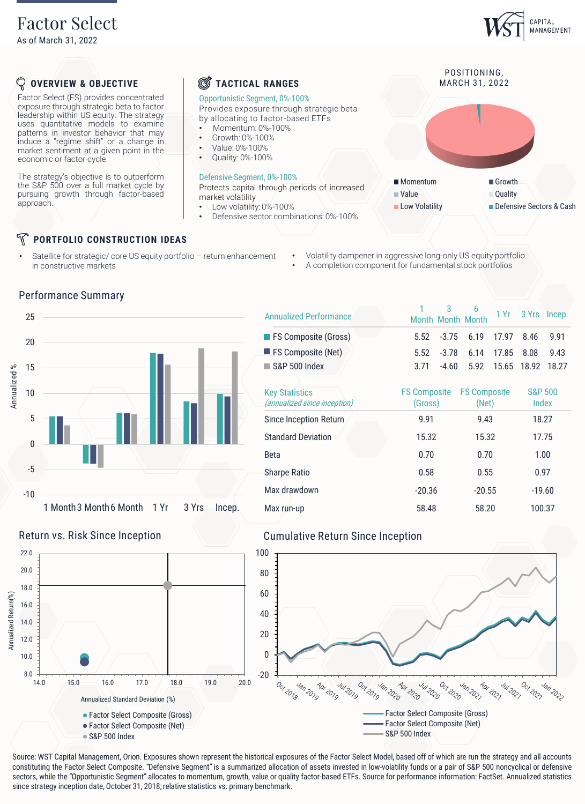As of March 31, 2022

## CAPITAL MANAGEMENT

POSITIONING,<br>MARCH 31, 2022

■ Momentum Growth **Value Quality** 

Low Volatility **Defensive Sectors & Cash** 

### ଦ୍ୱ **OVERVIEW & OBJECTIVE**

Factor Select (FS) provides concentrated exposure through strategic beta to factor leadership within US equity. The strategy uses quantitative models to examine patterns in investor behavior that may induce a "regime shift" or a change in market sentiment at a given point in the economic or factor cycle.

The strategy's objective is to outperform the S&P 500 over a full market cycle by pursuing growth through factor-based approach.

## **PORTFOLIO CONSTRUCTION IDEAS**

Satellite for strategic/ core US equity portfolio - return enhancement in constructive markets

Q **TACTICAL RANGES** 

## Opportunistic Segment, 0%-100%

Provides exposure through strategic beta by allocating to factor-based ETFs

- Momentum: 0%-100%
- Growth: 0%-100%
- Value: 0%-100%
- Quality: 0%-100%

## Defensive Segment, 0%-100%

Protects capital through periods of increased market volatility

- Low volatility: 0%-100%
- Defensive sector combinations: 0%-100%
	- Volatility dampener in aggressive long-only US equity portfolio
	- A completion component for fundamental stock portfolios



## 1 Month Month 3 6 1 Yr 3 Yrs Incep. FS Composite (Gross) 5.52 -3.75 6.19 17.97 8.46 9.91 FS Composite (Net) 5.52 -3.78 6.14 17.85 8.08 9.43 S&P 500 Index 3.71 -4.60 5.92 15.65 18.92 18.27 Annualized Performance

| <b>Key Statistics</b><br><i>(annualized since inception)</i> | <b>FS Composite</b><br>(Gross) | <b>FS Composite</b><br>(Net) | <b>S&amp;P 500</b><br>Index |
|--------------------------------------------------------------|--------------------------------|------------------------------|-----------------------------|
| Since Inception Return                                       | 9.91                           | 9.43                         | 18.27                       |
| <b>Standard Deviation</b>                                    | 15.32                          | 15.32                        | 17.75                       |
| <b>Beta</b>                                                  | 0.70                           | 0.70                         | 1.00                        |
| <b>Sharpe Ratio</b>                                          | 0.58                           | 0.55                         | 0.97                        |
| Max drawdown                                                 | $-20.36$                       | $-20.55$                     | $-19.60$                    |
| Max run-up                                                   | 58.48                          | 58.20                        | 100.37                      |

## Return vs. Risk Since Inception **Cumulative Return Since Inception**



Source: WST Capital Management, Orion. Exposures shown represent the historical exposures of the Factor Select Model, based off of which are run the strategy and all accounts constituting the Factor Select Composite. "Defensive Segment" is a summarized allocation of assets invested in low-volatility funds or a pair of S&P 500 noncyclical or defensive sectors, while the "Opportunistic Segment" allocates to momentum, growth, value or quality factor-based ETFs. Source for performance information: FactSet. Annualized statistics

# Performance Summary